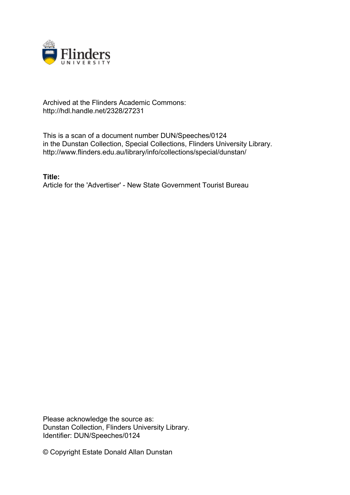

## Archived at the Flinders Academic Commons: http://hdl.handle.net/2328/27231

This is a scan of a document number DUN/Speeches/0124 in the Dunstan Collection, Special Collections, Flinders University Library. http://www.flinders.edu.au/library/info/collections/special/dunstan/

**Title:** Article for the 'Advertiser' - New State Government Tourist Bureau

Please acknowledge the source as: Dunstan Collection, Flinders University Library. Identifier: DUN/Speeches/0124

© Copyright Estate Donald Allan Dunstan